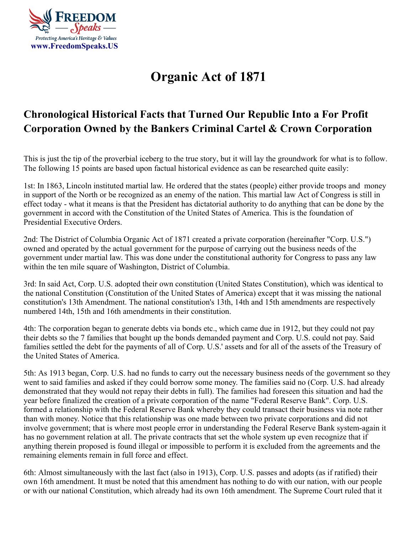

## **[Organic Act of 1871](https://freerepublic.com/focus/f-news/813840/posts)**

## **Chronological Historical Facts that Turned Our Republic Into a For Profit Corporation Owned by the Bankers Criminal Cartel & Crown Corporation**

This is just the tip of the proverbial iceberg to the true story, but it will lay the groundwork for what is to follow. The following 15 points are based upon factual historical evidence as can be researched quite easily:

1st: In 1863, Lincoln instituted martial law. He ordered that the states (people) either provide troops and money in support of the North or be recognized as an enemy of the nation. This martial law Act of Congress is still in effect today - what it means is that the President has dictatorial authority to do anything that can be done by the government in accord with the Constitution of the United States of America. This is the foundation of Presidential Executive Orders.

2nd: The District of Columbia Organic Act of 1871 created a private corporation (hereinafter "Corp. U.S.") owned and operated by the actual government for the purpose of carrying out the business needs of the government under martial law. This was done under the constitutional authority for Congress to pass any law within the ten mile square of Washington, District of Columbia.

3rd: In said Act, Corp. U.S. adopted their own constitution (United States Constitution), which was identical to the national Constitution (Constitution of the United States of America) except that it was missing the national constitution's 13th Amendment. The national constitution's 13th, 14th and 15th amendments are respectively numbered 14th, 15th and 16th amendments in their constitution.

4th: The corporation began to generate debts via bonds etc., which came due in 1912, but they could not pay their debts so the 7 families that bought up the bonds demanded payment and Corp. U.S. could not pay. Said families settled the debt for the payments of all of Corp. U.S.' assets and for all of the assets of the Treasury of the United States of America.

5th: As 1913 began, Corp. U.S. had no funds to carry out the necessary business needs of the government so they went to said families and asked if they could borrow some money. The families said no (Corp. U.S. had already demonstrated that they would not repay their debts in full). The families had foreseen this situation and had the year before finalized the creation of a private corporation of the name "Federal Reserve Bank". Corp. U.S. formed a relationship with the Federal Reserve Bank whereby they could transact their business via note rather than with money. Notice that this relationship was one made between two private corporations and did not involve government; that is where most people error in understanding the Federal Reserve Bank system-again it has no government relation at all. The private contracts that set the whole system up even recognize that if anything therein proposed is found illegal or impossible to perform it is excluded from the agreements and the remaining elements remain in full force and effect.

6th: Almost simultaneously with the last fact (also in 1913), Corp. U.S. passes and adopts (as if ratified) their own 16th amendment. It must be noted that this amendment has nothing to do with our nation, with our people or with our national Constitution, which already had its own 16th amendment. The Supreme Court ruled that it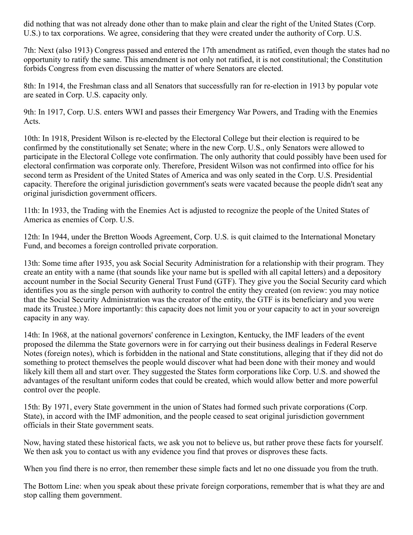did nothing that was not already done other than to make plain and clear the right of the United States (Corp. U.S.) to tax corporations. We agree, considering that they were created under the authority of Corp. U.S.

7th: Next (also 1913) Congress passed and entered the 17th amendment as ratified, even though the states had no opportunity to ratify the same. This amendment is not only not ratified, it is not constitutional; the Constitution forbids Congress from even discussing the matter of where Senators are elected.

8th: In 1914, the Freshman class and all Senators that successfully ran for re-election in 1913 by popular vote are seated in Corp. U.S. capacity only.

9th: In 1917, Corp. U.S. enters WWI and passes their Emergency War Powers, and Trading with the Enemies Acts.

10th: In 1918, President Wilson is re-elected by the Electoral College but their election is required to be confirmed by the constitutionally set Senate; where in the new Corp. U.S., only Senators were allowed to participate in the Electoral College vote confirmation. The only authority that could possibly have been used for electoral confirmation was corporate only. Therefore, President Wilson was not confirmed into office for his second term as President of the United States of America and was only seated in the Corp. U.S. Presidential capacity. Therefore the original jurisdiction government's seats were vacated because the people didn't seat any original jurisdiction government officers.

11th: In 1933, the Trading with the Enemies Act is adjusted to recognize the people of the United States of America as enemies of Corp. U.S.

12th: In 1944, under the Bretton Woods Agreement, Corp. U.S. is quit claimed to the International Monetary Fund, and becomes a foreign controlled private corporation.

13th: Some time after 1935, you ask Social Security Administration for a relationship with their program. They create an entity with a name (that sounds like your name but is spelled with all capital letters) and a depository account number in the Social Security General Trust Fund (GTF). They give you the Social Security card which identifies you as the single person with authority to control the entity they created (on review: you may notice that the Social Security Administration was the creator of the entity, the GTF is its beneficiary and you were made its Trustee.) More importantly: this capacity does not limit you or your capacity to act in your sovereign capacity in any way.

14th: In 1968, at the national governors' conference in Lexington, Kentucky, the IMF leaders of the event proposed the dilemma the State governors were in for carrying out their business dealings in Federal Reserve Notes (foreign notes), which is forbidden in the national and State constitutions, alleging that if they did not do something to protect themselves the people would discover what had been done with their money and would likely kill them all and start over. They suggested the States form corporations like Corp. U.S. and showed the advantages of the resultant uniform codes that could be created, which would allow better and more powerful control over the people.

15th: By 1971, every State government in the union of States had formed such private corporations (Corp. State), in accord with the IMF admonition, and the people ceased to seat original jurisdiction government officials in their State government seats.

Now, having stated these historical facts, we ask you not to believe us, but rather prove these facts for yourself. We then ask you to contact us with any evidence you find that proves or disproves these facts.

When you find there is no error, then remember these simple facts and let no one dissuade you from the truth.

The Bottom Line: when you speak about these private foreign corporations, remember that is what they are and stop calling them government.